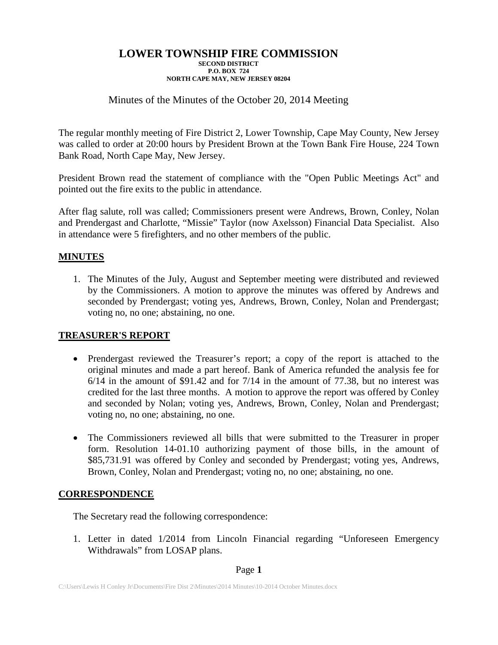# Minutes of the Minutes of the October 20, 2014 Meeting

The regular monthly meeting of Fire District 2, Lower Township, Cape May County, New Jersey was called to order at 20:00 hours by President Brown at the Town Bank Fire House, 224 Town Bank Road, North Cape May, New Jersey.

President Brown read the statement of compliance with the "Open Public Meetings Act" and pointed out the fire exits to the public in attendance.

After flag salute, roll was called; Commissioners present were Andrews, Brown, Conley, Nolan and Prendergast and Charlotte, "Missie" Taylor (now Axelsson) Financial Data Specialist. Also in attendance were 5 firefighters, and no other members of the public.

## **MINUTES**

1. The Minutes of the July, August and September meeting were distributed and reviewed by the Commissioners. A motion to approve the minutes was offered by Andrews and seconded by Prendergast; voting yes, Andrews, Brown, Conley, Nolan and Prendergast; voting no, no one; abstaining, no one.

## **TREASURER'S REPORT**

- Prendergast reviewed the Treasurer's report; a copy of the report is attached to the original minutes and made a part hereof. Bank of America refunded the analysis fee for 6/14 in the amount of \$91.42 and for 7/14 in the amount of 77.38, but no interest was credited for the last three months. A motion to approve the report was offered by Conley and seconded by Nolan; voting yes, Andrews, Brown, Conley, Nolan and Prendergast; voting no, no one; abstaining, no one.
- The Commissioners reviewed all bills that were submitted to the Treasurer in proper form. Resolution 14-01.10 authorizing payment of those bills, in the amount of \$85,731.91 was offered by Conley and seconded by Prendergast; voting yes, Andrews, Brown, Conley, Nolan and Prendergast; voting no, no one; abstaining, no one.

## **CORRESPONDENCE**

The Secretary read the following correspondence:

1. Letter in dated 1/2014 from Lincoln Financial regarding "Unforeseen Emergency Withdrawals" from LOSAP plans.

### Page **1**

C:\Users\Lewis H Conley Jr\Documents\Fire Dist 2\Minutes\2014 Minutes\10-2014 October Minutes.docx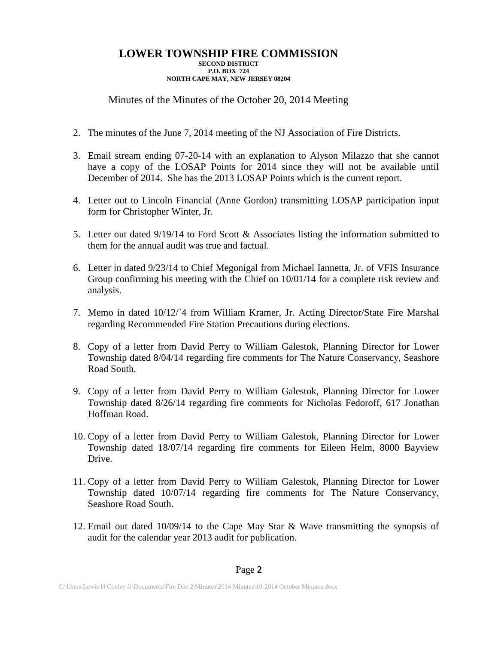Minutes of the Minutes of the October 20, 2014 Meeting

- 2. The minutes of the June 7, 2014 meeting of the NJ Association of Fire Districts.
- 3. Email stream ending 07-20-14 with an explanation to Alyson Milazzo that she cannot have a copy of the LOSAP Points for 2014 since they will not be available until December of 2014. She has the 2013 LOSAP Points which is the current report.
- 4. Letter out to Lincoln Financial (Anne Gordon) transmitting LOSAP participation input form for Christopher Winter, Jr.
- 5. Letter out dated  $9/19/14$  to Ford Scott & Associates listing the information submitted to them for the annual audit was true and factual.
- 6. Letter in dated 9/23/14 to Chief Megonigal from Michael Iannetta, Jr. of VFIS Insurance Group confirming his meeting with the Chief on 10/01/14 for a complete risk review and analysis.
- 7. Memo in dated 10/12/`4 from William Kramer, Jr. Acting Director/State Fire Marshal regarding Recommended Fire Station Precautions during elections.
- 8. Copy of a letter from David Perry to William Galestok, Planning Director for Lower Township dated 8/04/14 regarding fire comments for The Nature Conservancy, Seashore Road South.
- 9. Copy of a letter from David Perry to William Galestok, Planning Director for Lower Township dated 8/26/14 regarding fire comments for Nicholas Fedoroff, 617 Jonathan Hoffman Road.
- 10. Copy of a letter from David Perry to William Galestok, Planning Director for Lower Township dated 18/07/14 regarding fire comments for Eileen Helm, 8000 Bayview Drive.
- 11. Copy of a letter from David Perry to William Galestok, Planning Director for Lower Township dated 10/07/14 regarding fire comments for The Nature Conservancy, Seashore Road South.
- 12. Email out dated 10/09/14 to the Cape May Star & Wave transmitting the synopsis of audit for the calendar year 2013 audit for publication.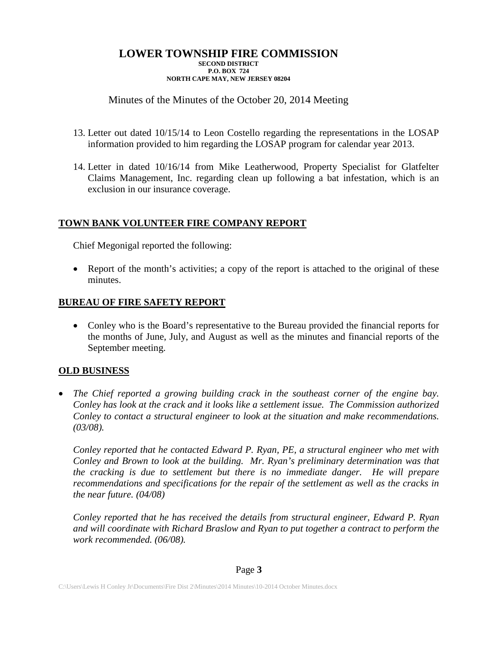# Minutes of the Minutes of the October 20, 2014 Meeting

- 13. Letter out dated 10/15/14 to Leon Costello regarding the representations in the LOSAP information provided to him regarding the LOSAP program for calendar year 2013.
- 14. Letter in dated 10/16/14 from Mike Leatherwood, Property Specialist for Glatfelter Claims Management, Inc. regarding clean up following a bat infestation, which is an exclusion in our insurance coverage.

# **TOWN BANK VOLUNTEER FIRE COMPANY REPORT**

Chief Megonigal reported the following:

• Report of the month's activities; a copy of the report is attached to the original of these minutes.

# **BUREAU OF FIRE SAFETY REPORT**

• Conley who is the Board's representative to the Bureau provided the financial reports for the months of June, July, and August as well as the minutes and financial reports of the September meeting.

## **OLD BUSINESS**

• *The Chief reported a growing building crack in the southeast corner of the engine bay. Conley has look at the crack and it looks like a settlement issue. The Commission authorized Conley to contact a structural engineer to look at the situation and make recommendations. (03/08).*

*Conley reported that he contacted Edward P. Ryan, PE, a structural engineer who met with Conley and Brown to look at the building. Mr. Ryan's preliminary determination was that the cracking is due to settlement but there is no immediate danger. He will prepare recommendations and specifications for the repair of the settlement as well as the cracks in the near future. (04/08)*

*Conley reported that he has received the details from structural engineer, Edward P. Ryan and will coordinate with Richard Braslow and Ryan to put together a contract to perform the work recommended. (06/08).*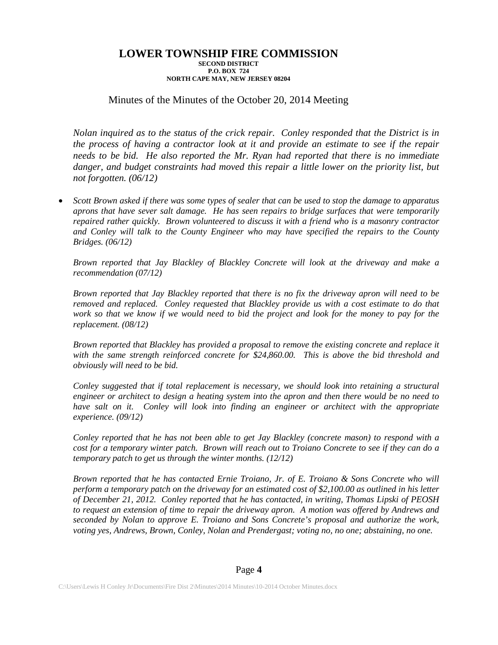## Minutes of the Minutes of the October 20, 2014 Meeting

*Nolan inquired as to the status of the crick repair. Conley responded that the District is in the process of having a contractor look at it and provide an estimate to see if the repair needs to be bid. He also reported the Mr. Ryan had reported that there is no immediate*  danger, and budget constraints had moved this repair a little lower on the priority list, but *not forgotten. (06/12)*

• *Scott Brown asked if there was some types of sealer that can be used to stop the damage to apparatus aprons that have sever salt damage. He has seen repairs to bridge surfaces that were temporarily repaired rather quickly. Brown volunteered to discuss it with a friend who is a masonry contractor and Conley will talk to the County Engineer who may have specified the repairs to the County Bridges. (06/12)*

*Brown reported that Jay Blackley of Blackley Concrete will look at the driveway and make a recommendation (07/12)*

*Brown reported that Jay Blackley reported that there is no fix the driveway apron will need to be removed and replaced. Conley requested that Blackley provide us with a cost estimate to do that work so that we know if we would need to bid the project and look for the money to pay for the replacement. (08/12)*

*Brown reported that Blackley has provided a proposal to remove the existing concrete and replace it with the same strength reinforced concrete for \$24,860.00. This is above the bid threshold and obviously will need to be bid.*

*Conley suggested that if total replacement is necessary, we should look into retaining a structural engineer or architect to design a heating system into the apron and then there would be no need to have salt on it. Conley will look into finding an engineer or architect with the appropriate experience. (09/12)*

*Conley reported that he has not been able to get Jay Blackley (concrete mason) to respond with a cost for a temporary winter patch. Brown will reach out to Troiano Concrete to see if they can do a temporary patch to get us through the winter months. (12/12)*

*Brown reported that he has contacted Ernie Troiano, Jr. of E. Troiano & Sons Concrete who will perform a temporary patch on the driveway for an estimated cost of \$2,100.00 as outlined in his letter of December 21, 2012. Conley reported that he has contacted, in writing, Thomas Lipski of PEOSH to request an extension of time to repair the driveway apron. A motion was offered by Andrews and seconded by Nolan to approve E. Troiano and Sons Concrete's proposal and authorize the work, voting yes, Andrews, Brown, Conley, Nolan and Prendergast; voting no, no one; abstaining, no one.*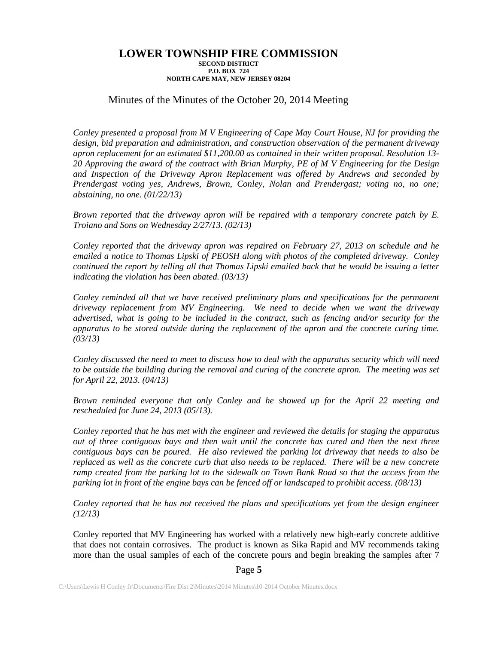## Minutes of the Minutes of the October 20, 2014 Meeting

*Conley presented a proposal from M V Engineering of Cape May Court House, NJ for providing the design, bid preparation and administration, and construction observation of the permanent driveway apron replacement for an estimated \$11,200.00 as contained in their written proposal. Resolution 13- 20 Approving the award of the contract with Brian Murphy, PE of M V Engineering for the Design and Inspection of the Driveway Apron Replacement was offered by Andrews and seconded by Prendergast voting yes, Andrews, Brown, Conley, Nolan and Prendergast; voting no, no one; abstaining, no one. (01/22/13)*

*Brown reported that the driveway apron will be repaired with a temporary concrete patch by E. Troiano and Sons on Wednesday 2/27/13. (02/13)*

*Conley reported that the driveway apron was repaired on February 27, 2013 on schedule and he emailed a notice to Thomas Lipski of PEOSH along with photos of the completed driveway. Conley continued the report by telling all that Thomas Lipski emailed back that he would be issuing a letter indicating the violation has been abated. (03/13)*

*Conley reminded all that we have received preliminary plans and specifications for the permanent driveway replacement from MV Engineering. We need to decide when we want the driveway advertised, what is going to be included in the contract, such as fencing and/or security for the apparatus to be stored outside during the replacement of the apron and the concrete curing time. (03/13)*

*Conley discussed the need to meet to discuss how to deal with the apparatus security which will need to be outside the building during the removal and curing of the concrete apron. The meeting was set for April 22, 2013. (04/13)*

*Brown reminded everyone that only Conley and he showed up for the April 22 meeting and rescheduled for June 24, 2013 (05/13).*

*Conley reported that he has met with the engineer and reviewed the details for staging the apparatus out of three contiguous bays and then wait until the concrete has cured and then the next three contiguous bays can be poured. He also reviewed the parking lot driveway that needs to also be replaced as well as the concrete curb that also needs to be replaced. There will be a new concrete ramp created from the parking lot to the sidewalk on Town Bank Road so that the access from the parking lot in front of the engine bays can be fenced off or landscaped to prohibit access. (08/13)* 

*Conley reported that he has not received the plans and specifications yet from the design engineer (12/13)*

Conley reported that MV Engineering has worked with a relatively new high-early concrete additive that does not contain corrosives. The product is known as Sika Rapid and MV recommends taking more than the usual samples of each of the concrete pours and begin breaking the samples after 7

### Page **5**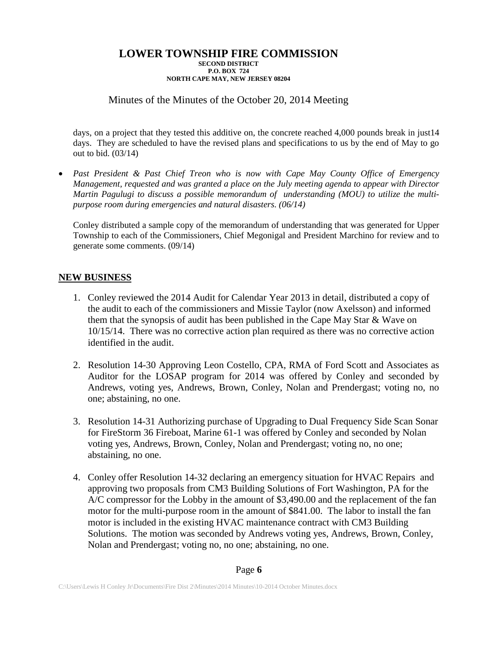# Minutes of the Minutes of the October 20, 2014 Meeting

days, on a project that they tested this additive on, the concrete reached 4,000 pounds break in just14 days. They are scheduled to have the revised plans and specifications to us by the end of May to go out to bid. (03/14)

• *Past President & Past Chief Treon who is now with Cape May County Office of Emergency Management, requested and was granted a place on the July meeting agenda to appear with Director Martin Pagulugi to discuss a possible memorandum of understanding (MOU) to utilize the multipurpose room during emergencies and natural disasters. (06/14)*

Conley distributed a sample copy of the memorandum of understanding that was generated for Upper Township to each of the Commissioners, Chief Megonigal and President Marchino for review and to generate some comments. (09/14)

## **NEW BUSINESS**

- 1. Conley reviewed the 2014 Audit for Calendar Year 2013 in detail, distributed a copy of the audit to each of the commissioners and Missie Taylor (now Axelsson) and informed them that the synopsis of audit has been published in the Cape May Star & Wave on 10/15/14. There was no corrective action plan required as there was no corrective action identified in the audit.
- 2. Resolution 14-30 Approving Leon Costello, CPA, RMA of Ford Scott and Associates as Auditor for the LOSAP program for 2014 was offered by Conley and seconded by Andrews, voting yes, Andrews, Brown, Conley, Nolan and Prendergast; voting no, no one; abstaining, no one.
- 3. Resolution 14-31 Authorizing purchase of Upgrading to Dual Frequency Side Scan Sonar for FireStorm 36 Fireboat, Marine 61-1 was offered by Conley and seconded by Nolan voting yes, Andrews, Brown, Conley, Nolan and Prendergast; voting no, no one; abstaining, no one.
- 4. Conley offer Resolution 14-32 declaring an emergency situation for HVAC Repairs and approving two proposals from CM3 Building Solutions of Fort Washington, PA for the A/C compressor for the Lobby in the amount of \$3,490.00 and the replacement of the fan motor for the multi-purpose room in the amount of \$841.00. The labor to install the fan motor is included in the existing HVAC maintenance contract with CM3 Building Solutions. The motion was seconded by Andrews voting yes, Andrews, Brown, Conley, Nolan and Prendergast; voting no, no one; abstaining, no one.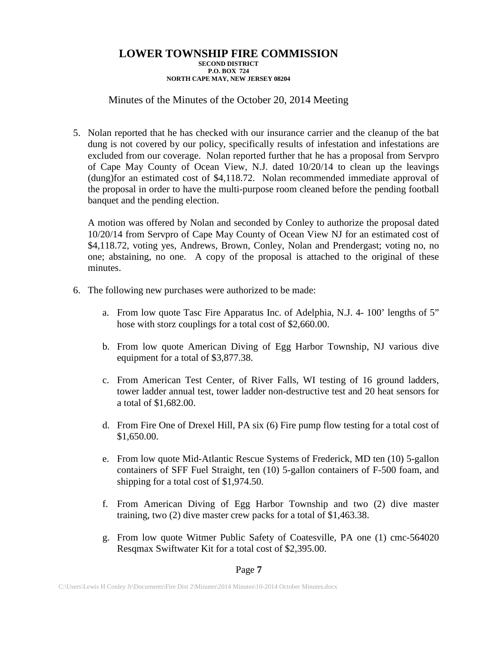# Minutes of the Minutes of the October 20, 2014 Meeting

5. Nolan reported that he has checked with our insurance carrier and the cleanup of the bat dung is not covered by our policy, specifically results of infestation and infestations are excluded from our coverage. Nolan reported further that he has a proposal from Servpro of Cape May County of Ocean View, N.J. dated 10/20/14 to clean up the leavings (dung)for an estimated cost of \$4,118.72. Nolan recommended immediate approval of the proposal in order to have the multi-purpose room cleaned before the pending football banquet and the pending election.

A motion was offered by Nolan and seconded by Conley to authorize the proposal dated 10/20/14 from Servpro of Cape May County of Ocean View NJ for an estimated cost of \$4,118.72, voting yes, Andrews, Brown, Conley, Nolan and Prendergast; voting no, no one; abstaining, no one. A copy of the proposal is attached to the original of these minutes.

- 6. The following new purchases were authorized to be made:
	- a. From low quote Tasc Fire Apparatus Inc. of Adelphia, N.J. 4- 100' lengths of 5" hose with storz couplings for a total cost of \$2,660.00.
	- b. From low quote American Diving of Egg Harbor Township, NJ various dive equipment for a total of \$3,877.38.
	- c. From American Test Center, of River Falls, WI testing of 16 ground ladders, tower ladder annual test, tower ladder non-destructive test and 20 heat sensors for a total of \$1,682.00.
	- d. From Fire One of Drexel Hill, PA six (6) Fire pump flow testing for a total cost of \$1,650.00.
	- e. From low quote Mid-Atlantic Rescue Systems of Frederick, MD ten (10) 5-gallon containers of SFF Fuel Straight, ten (10) 5-gallon containers of F-500 foam, and shipping for a total cost of \$1,974.50.
	- f. From American Diving of Egg Harbor Township and two (2) dive master training, two (2) dive master crew packs for a total of \$1,463.38.
	- g. From low quote Witmer Public Safety of Coatesville, PA one (1) cmc-564020 Resqmax Swiftwater Kit for a total cost of \$2,395.00.

### Page **7**